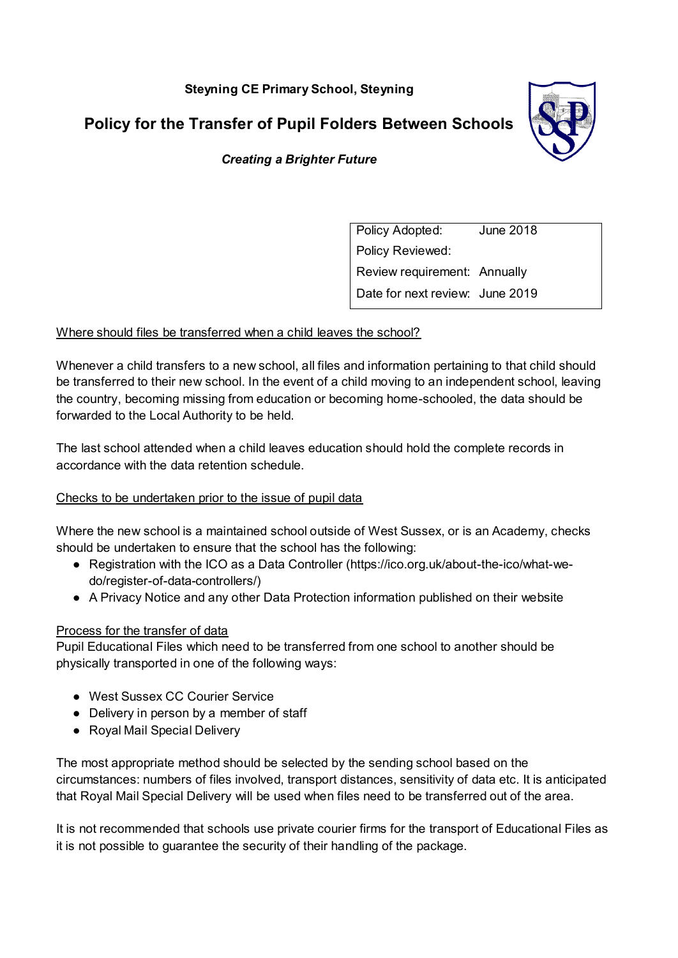**Steyning CE Primary School, Steyning** 

**Policy for the Transfer of Pupil Folders Between Schools** 



# *Creating a Brighter Future*

Policy Adopted: June 2018 Policy Reviewed: Review requirement: Annually Date for next review: June 2019

## Where should files be transferred when a child leaves the school?

Whenever a child transfers to a new school, all files and information pertaining to that child should be transferred to their new school. In the event of a child moving to an independent school, leaving the country, becoming missing from education or becoming home-schooled, the data should be forwarded to the Local Authority to be held.

The last school attended when a child leaves education should hold the complete records in accordance with the data retention schedule.

#### Checks to be undertaken prior to the issue of pupil data

Where the new school is a maintained school outside of West Sussex, or is an Academy, checks should be undertaken to ensure that the school has the following:

- Registration with the ICO as a Data Controller (https://ico.org.uk/about-the-ico/what-wedo/register-of-data-controllers/)
- A Privacy Notice and any other Data Protection information published on their website

#### Process for the transfer of data

Pupil Educational Files which need to be transferred from one school to another should be physically transported in one of the following ways:

- West Sussex CC Courier Service
- Delivery in person by a member of staff
- Royal Mail Special Delivery

The most appropriate method should be selected by the sending school based on the circumstances: numbers of files involved, transport distances, sensitivity of data etc. It is anticipated that Royal Mail Special Delivery will be used when files need to be transferred out of the area.

It is not recommended that schools use private courier firms for the transport of Educational Files as it is not possible to guarantee the security of their handling of the package.